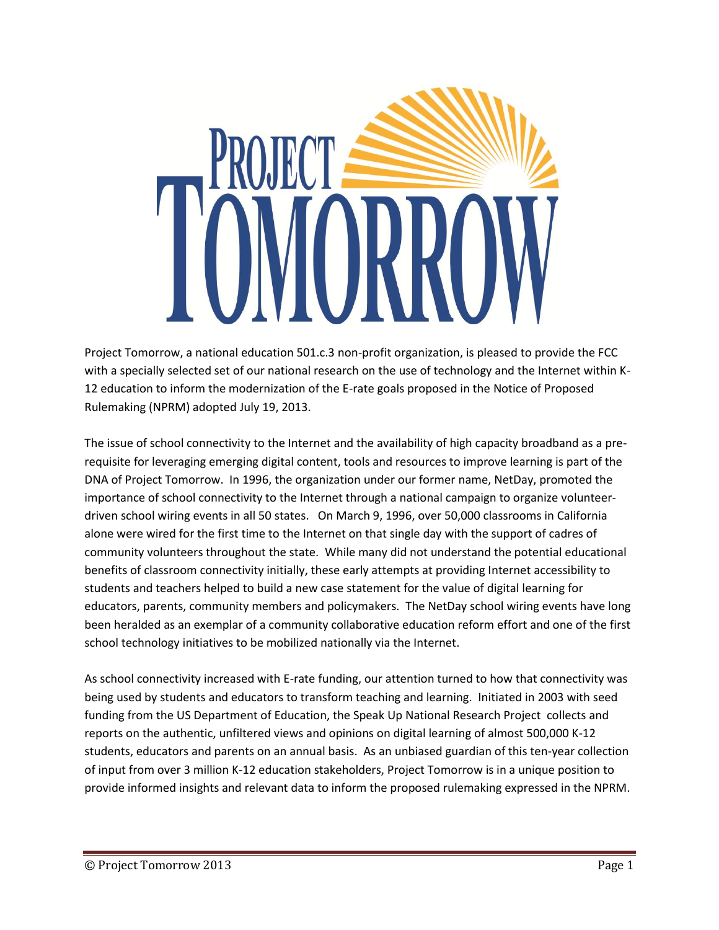

Project Tomorrow, a national education 501.c.3 non-profit organization, is pleased to provide the FCC with a specially selected set of our national research on the use of technology and the Internet within K-12 education to inform the modernization of the E-rate goals proposed in the Notice of Proposed Rulemaking (NPRM) adopted July 19, 2013.

The issue of school connectivity to the Internet and the availability of high capacity broadband as a prerequisite for leveraging emerging digital content, tools and resources to improve learning is part of the DNA of Project Tomorrow. In 1996, the organization under our former name, NetDay, promoted the importance of school connectivity to the Internet through a national campaign to organize volunteerdriven school wiring events in all 50 states. On March 9, 1996, over 50,000 classrooms in California alone were wired for the first time to the Internet on that single day with the support of cadres of community volunteers throughout the state. While many did not understand the potential educational benefits of classroom connectivity initially, these early attempts at providing Internet accessibility to students and teachers helped to build a new case statement for the value of digital learning for educators, parents, community members and policymakers. The NetDay school wiring events have long been heralded as an exemplar of a community collaborative education reform effort and one of the first school technology initiatives to be mobilized nationally via the Internet.

As school connectivity increased with E-rate funding, our attention turned to how that connectivity was being used by students and educators to transform teaching and learning. Initiated in 2003 with seed funding from the US Department of Education, the Speak Up National Research Project collects and reports on the authentic, unfiltered views and opinions on digital learning of almost 500,000 K-12 students, educators and parents on an annual basis. As an unbiased guardian of this ten-year collection of input from over 3 million K-12 education stakeholders, Project Tomorrow is in a unique position to provide informed insights and relevant data to inform the proposed rulemaking expressed in the NPRM.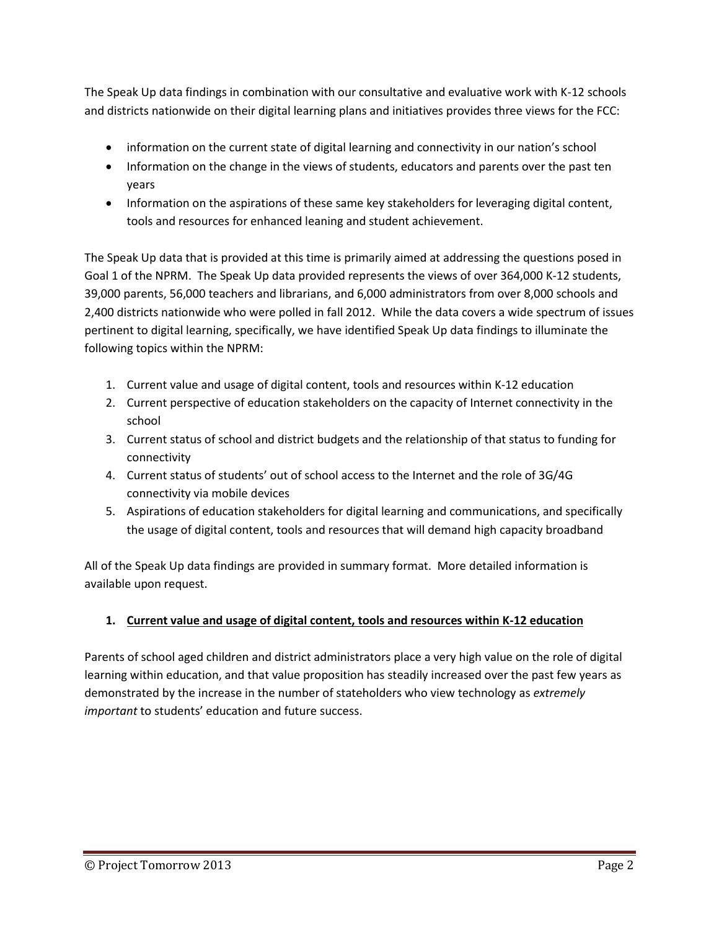The Speak Up data findings in combination with our consultative and evaluative work with K-12 schools and districts nationwide on their digital learning plans and initiatives provides three views for the FCC:

- information on the current state of digital learning and connectivity in our nation's school
- Information on the change in the views of students, educators and parents over the past ten years
- Information on the aspirations of these same key stakeholders for leveraging digital content, tools and resources for enhanced leaning and student achievement.

The Speak Up data that is provided at this time is primarily aimed at addressing the questions posed in Goal 1 of the NPRM. The Speak Up data provided represents the views of over 364,000 K-12 students, 39,000 parents, 56,000 teachers and librarians, and 6,000 administrators from over 8,000 schools and 2,400 districts nationwide who were polled in fall 2012. While the data covers a wide spectrum of issues pertinent to digital learning, specifically, we have identified Speak Up data findings to illuminate the following topics within the NPRM:

- 1. Current value and usage of digital content, tools and resources within K-12 education
- 2. Current perspective of education stakeholders on the capacity of Internet connectivity in the school
- 3. Current status of school and district budgets and the relationship of that status to funding for connectivity
- 4. Current status of students' out of school access to the Internet and the role of 3G/4G connectivity via mobile devices
- 5. Aspirations of education stakeholders for digital learning and communications, and specifically the usage of digital content, tools and resources that will demand high capacity broadband

All of the Speak Up data findings are provided in summary format. More detailed information is available upon request.

### **1. Current value and usage of digital content, tools and resources within K-12 education**

Parents of school aged children and district administrators place a very high value on the role of digital learning within education, and that value proposition has steadily increased over the past few years as demonstrated by the increase in the number of stateholders who view technology as *extremely important* to students' education and future success.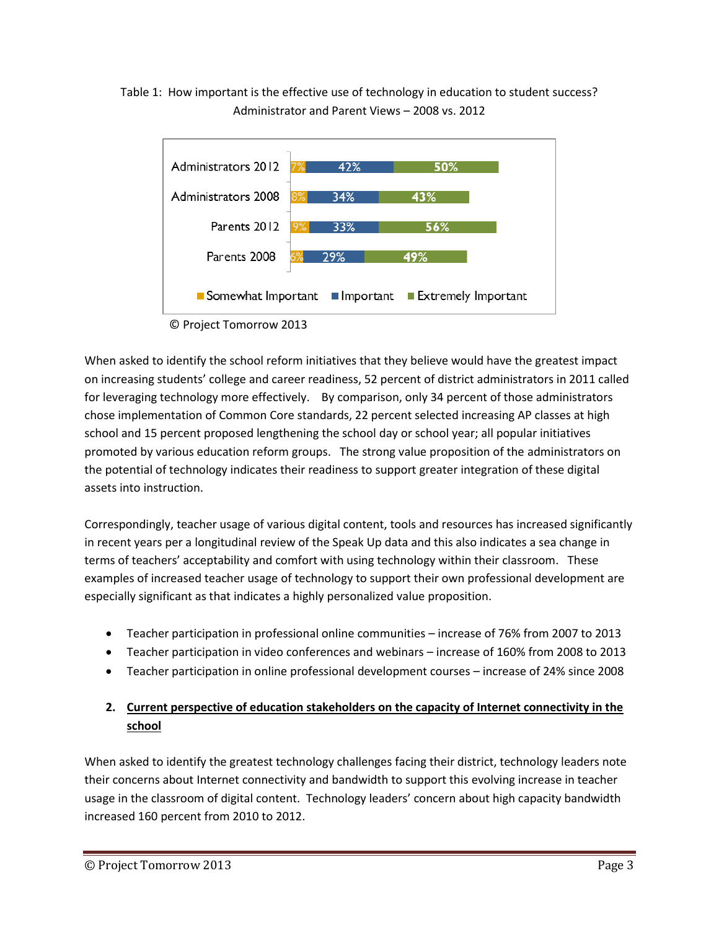Table 1: How important is the effective use of technology in education to student success? Administrator and Parent Views – 2008 vs. 2012



© Project Tomorrow 2013

When asked to identify the school reform initiatives that they believe would have the greatest impact on increasing students' college and career readiness, 52 percent of district administrators in 2011 called for leveraging technology more effectively. By comparison, only 34 percent of those administrators chose implementation of Common Core standards, 22 percent selected increasing AP classes at high school and 15 percent proposed lengthening the school day or school year; all popular initiatives promoted by various education reform groups. The strong value proposition of the administrators on the potential of technology indicates their readiness to support greater integration of these digital assets into instruction.

Correspondingly, teacher usage of various digital content, tools and resources has increased significantly in recent years per a longitudinal review of the Speak Up data and this also indicates a sea change in terms of teachers' acceptability and comfort with using technology within their classroom. These examples of increased teacher usage of technology to support their own professional development are especially significant as that indicates a highly personalized value proposition.

- Teacher participation in professional online communities increase of 76% from 2007 to 2013
- Teacher participation in video conferences and webinars increase of 160% from 2008 to 2013
- Teacher participation in online professional development courses increase of 24% since 2008

## **2. Current perspective of education stakeholders on the capacity of Internet connectivity in the school**

When asked to identify the greatest technology challenges facing their district, technology leaders note their concerns about Internet connectivity and bandwidth to support this evolving increase in teacher usage in the classroom of digital content. Technology leaders' concern about high capacity bandwidth increased 160 percent from 2010 to 2012.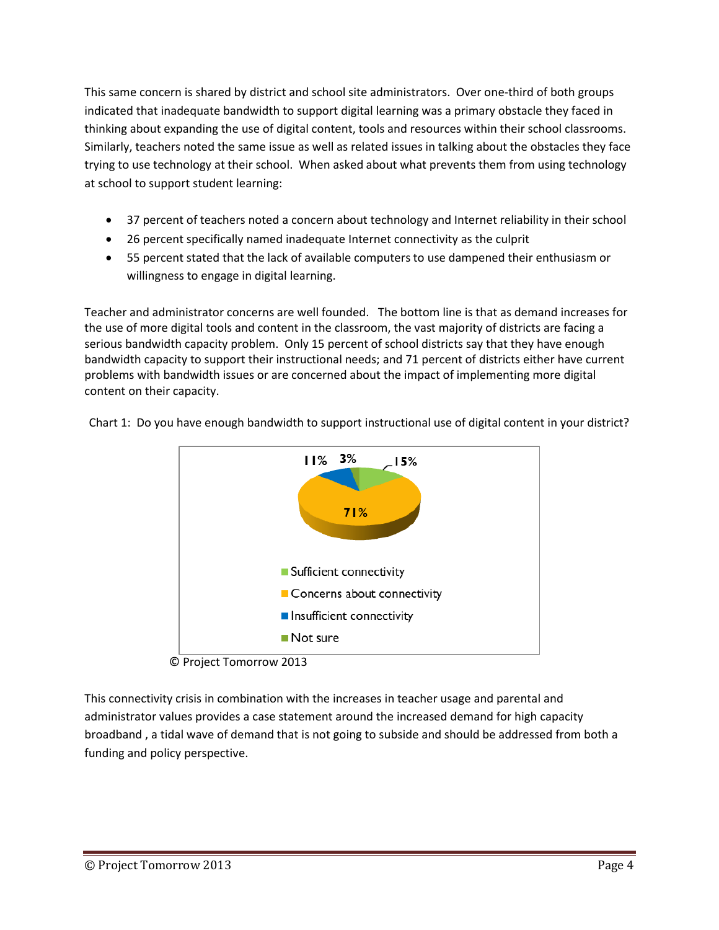This same concern is shared by district and school site administrators. Over one-third of both groups indicated that inadequate bandwidth to support digital learning was a primary obstacle they faced in thinking about expanding the use of digital content, tools and resources within their school classrooms. Similarly, teachers noted the same issue as well as related issues in talking about the obstacles they face trying to use technology at their school. When asked about what prevents them from using technology at school to support student learning:

- 37 percent of teachers noted a concern about technology and Internet reliability in their school
- 26 percent specifically named inadequate Internet connectivity as the culprit
- 55 percent stated that the lack of available computers to use dampened their enthusiasm or willingness to engage in digital learning.

Teacher and administrator concerns are well founded. The bottom line is that as demand increases for the use of more digital tools and content in the classroom, the vast majority of districts are facing a serious bandwidth capacity problem. Only 15 percent of school districts say that they have enough bandwidth capacity to support their instructional needs; and 71 percent of districts either have current problems with bandwidth issues or are concerned about the impact of implementing more digital content on their capacity.



Chart 1: Do you have enough bandwidth to support instructional use of digital content in your district?

© Project Tomorrow 2013

This connectivity crisis in combination with the increases in teacher usage and parental and administrator values provides a case statement around the increased demand for high capacity broadband , a tidal wave of demand that is not going to subside and should be addressed from both a funding and policy perspective.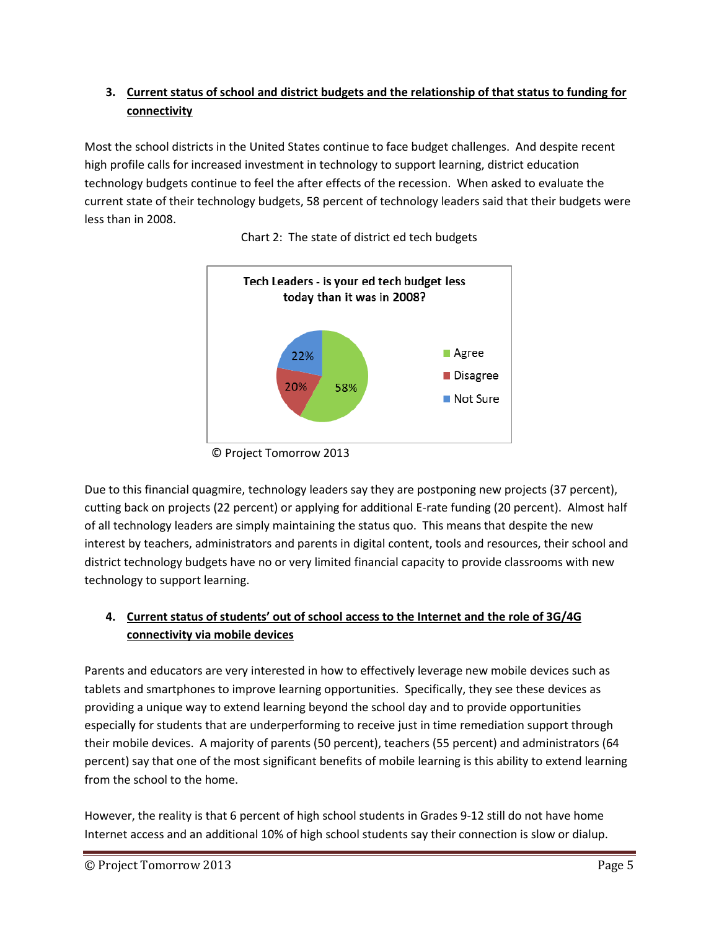#### **3. Current status of school and district budgets and the relationship of that status to funding for connectivity**

Most the school districts in the United States continue to face budget challenges. And despite recent high profile calls for increased investment in technology to support learning, district education technology budgets continue to feel the after effects of the recession. When asked to evaluate the current state of their technology budgets, 58 percent of technology leaders said that their budgets were less than in 2008.





Due to this financial quagmire, technology leaders say they are postponing new projects (37 percent), cutting back on projects (22 percent) or applying for additional E-rate funding (20 percent). Almost half of all technology leaders are simply maintaining the status quo. This means that despite the new interest by teachers, administrators and parents in digital content, tools and resources, their school and district technology budgets have no or very limited financial capacity to provide classrooms with new technology to support learning.

## **4. Current status of students' out of school access to the Internet and the role of 3G/4G connectivity via mobile devices**

Parents and educators are very interested in how to effectively leverage new mobile devices such as tablets and smartphones to improve learning opportunities. Specifically, they see these devices as providing a unique way to extend learning beyond the school day and to provide opportunities especially for students that are underperforming to receive just in time remediation support through their mobile devices. A majority of parents (50 percent), teachers (55 percent) and administrators (64 percent) say that one of the most significant benefits of mobile learning is this ability to extend learning from the school to the home.

However, the reality is that 6 percent of high school students in Grades 9-12 still do not have home Internet access and an additional 10% of high school students say their connection is slow or dialup.

<sup>©</sup> Project Tomorrow 2013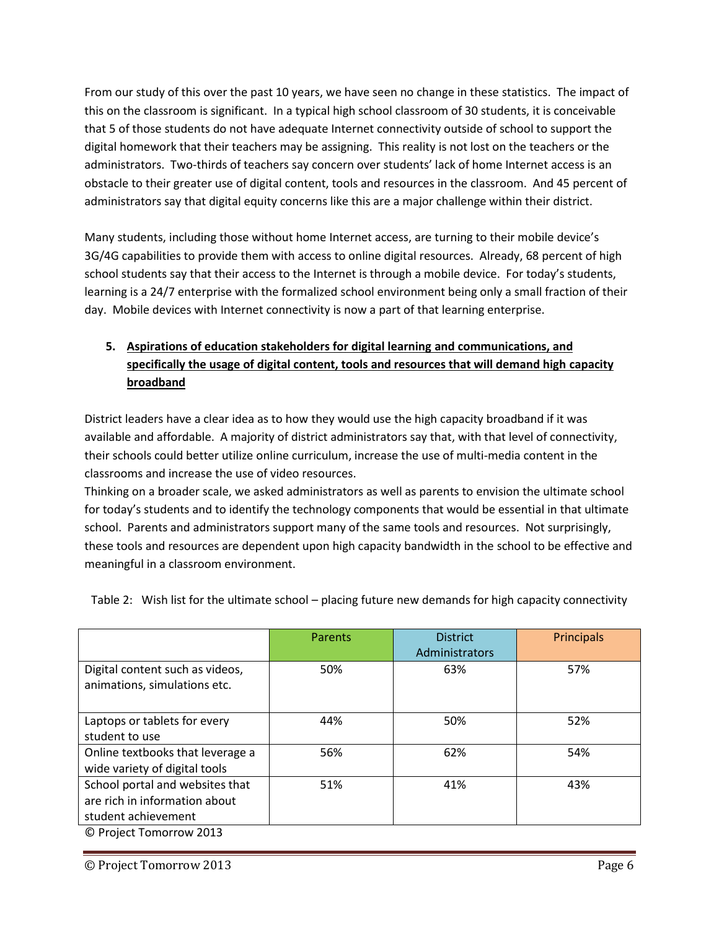From our study of this over the past 10 years, we have seen no change in these statistics. The impact of this on the classroom is significant. In a typical high school classroom of 30 students, it is conceivable that 5 of those students do not have adequate Internet connectivity outside of school to support the digital homework that their teachers may be assigning. This reality is not lost on the teachers or the administrators. Two-thirds of teachers say concern over students' lack of home Internet access is an obstacle to their greater use of digital content, tools and resources in the classroom. And 45 percent of administrators say that digital equity concerns like this are a major challenge within their district.

Many students, including those without home Internet access, are turning to their mobile device's 3G/4G capabilities to provide them with access to online digital resources. Already, 68 percent of high school students say that their access to the Internet is through a mobile device. For today's students, learning is a 24/7 enterprise with the formalized school environment being only a small fraction of their day. Mobile devices with Internet connectivity is now a part of that learning enterprise.

# **5. Aspirations of education stakeholders for digital learning and communications, and specifically the usage of digital content, tools and resources that will demand high capacity broadband**

District leaders have a clear idea as to how they would use the high capacity broadband if it was available and affordable. A majority of district administrators say that, with that level of connectivity, their schools could better utilize online curriculum, increase the use of multi-media content in the classrooms and increase the use of video resources.

Thinking on a broader scale, we asked administrators as well as parents to envision the ultimate school for today's students and to identify the technology components that would be essential in that ultimate school. Parents and administrators support many of the same tools and resources. Not surprisingly, these tools and resources are dependent upon high capacity bandwidth in the school to be effective and meaningful in a classroom environment.

|                                                                                         | Parents | <b>District</b><br>Administrators | Principals |
|-----------------------------------------------------------------------------------------|---------|-----------------------------------|------------|
| Digital content such as videos,<br>animations, simulations etc.                         | 50%     | 63%                               | 57%        |
| Laptops or tablets for every<br>student to use                                          | 44%     | 50%                               | 52%        |
| Online textbooks that leverage a<br>wide variety of digital tools                       | 56%     | 62%                               | 54%        |
| School portal and websites that<br>are rich in information about<br>student achievement | 51%     | 41%                               | 43%        |
| © Project Tomorrow 2013                                                                 |         |                                   |            |

Table 2: Wish list for the ultimate school – placing future new demands for high capacity connectivity